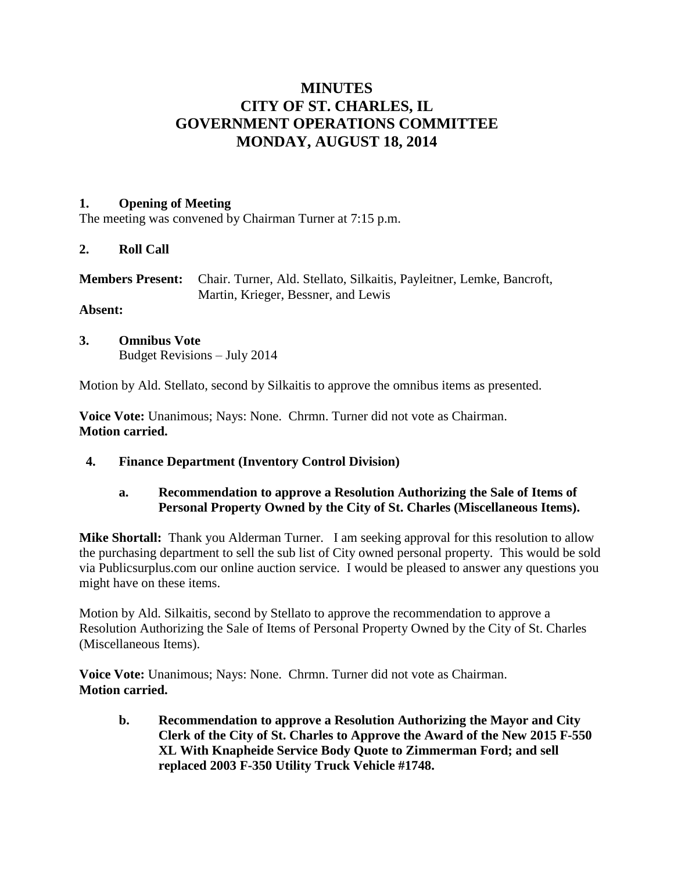# **MINUTES CITY OF ST. CHARLES, IL GOVERNMENT OPERATIONS COMMITTEE MONDAY, AUGUST 18, 2014**

#### **1. Opening of Meeting**

The meeting was convened by Chairman Turner at 7:15 p.m.

#### **2. Roll Call**

| <b>Members Present:</b> Chair. Turner, Ald. Stellato, Silkaitis, Payleitner, Lemke, Bancroft, |
|-----------------------------------------------------------------------------------------------|
| Martin, Krieger, Bessner, and Lewis                                                           |

## **Absent:**

**3. Omnibus Vote** Budget Revisions – July 2014

Motion by Ald. Stellato, second by Silkaitis to approve the omnibus items as presented.

**Voice Vote:** Unanimous; Nays: None. Chrmn. Turner did not vote as Chairman. **Motion carried.**

 **4. Finance Department (Inventory Control Division)**

## **a. Recommendation to approve a Resolution Authorizing the Sale of Items of Personal Property Owned by the City of St. Charles (Miscellaneous Items).**

**Mike Shortall:** Thank you Alderman Turner. I am seeking approval for this resolution to allow the purchasing department to sell the sub list of City owned personal property. This would be sold via Publicsurplus.com our online auction service. I would be pleased to answer any questions you might have on these items.

Motion by Ald. Silkaitis, second by Stellato to approve the recommendation to approve a Resolution Authorizing the Sale of Items of Personal Property Owned by the City of St. Charles (Miscellaneous Items).

**Voice Vote:** Unanimous; Nays: None. Chrmn. Turner did not vote as Chairman. **Motion carried.**

**b. Recommendation to approve a Resolution Authorizing the Mayor and City Clerk of the City of St. Charles to Approve the Award of the New 2015 F-550 XL With Knapheide Service Body Quote to Zimmerman Ford; and sell replaced 2003 F-350 Utility Truck Vehicle #1748.**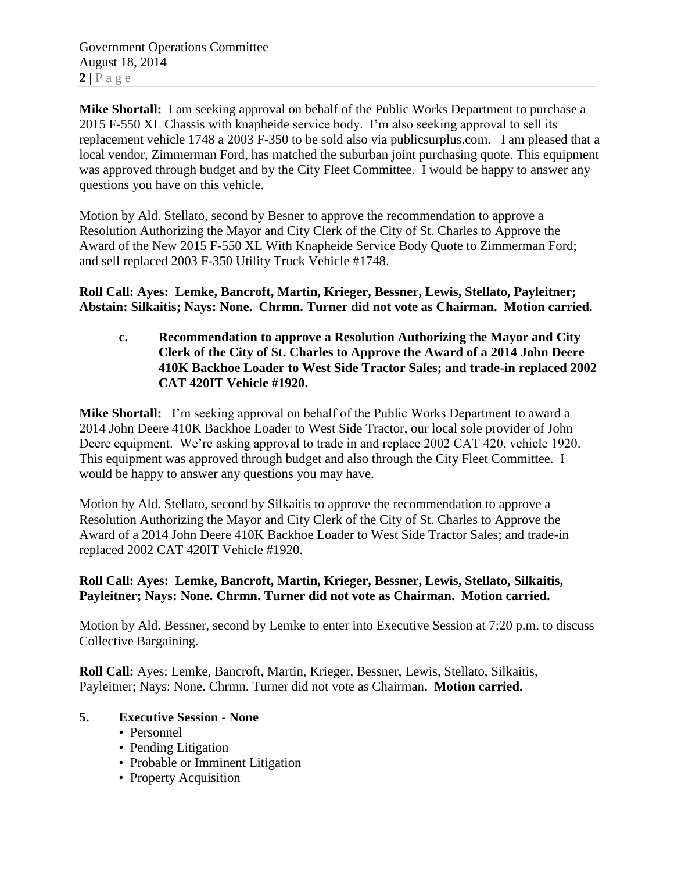Government Operations Committee August 18, 2014  $2 | P \text{ a } g \text{ e}$ 

**Mike Shortall:** I am seeking approval on behalf of the Public Works Department to purchase a 2015 F-550 XL Chassis with knapheide service body. I'm also seeking approval to sell its replacement vehicle 1748 a 2003 F-350 to be sold also via publicsurplus.com. I am pleased that a local vendor, Zimmerman Ford, has matched the suburban joint purchasing quote. This equipment was approved through budget and by the City Fleet Committee. I would be happy to answer any questions you have on this vehicle.

Motion by Ald. Stellato, second by Besner to approve the recommendation to approve a Resolution Authorizing the Mayor and City Clerk of the City of St. Charles to Approve the Award of the New 2015 F-550 XL With Knapheide Service Body Quote to Zimmerman Ford; and sell replaced 2003 F-350 Utility Truck Vehicle #1748.

**Roll Call: Ayes: Lemke, Bancroft, Martin, Krieger, Bessner, Lewis, Stellato, Payleitner; Abstain: Silkaitis; Nays: None. Chrmn. Turner did not vote as Chairman. Motion carried.**

**c. Recommendation to approve a Resolution Authorizing the Mayor and City Clerk of the City of St. Charles to Approve the Award of a 2014 John Deere 410K Backhoe Loader to West Side Tractor Sales; and trade-in replaced 2002 CAT 420IT Vehicle #1920.**

**Mike Shortall:** I'm seeking approval on behalf of the Public Works Department to award a 2014 John Deere 410K Backhoe Loader to West Side Tractor, our local sole provider of John Deere equipment. We're asking approval to trade in and replace 2002 CAT 420, vehicle 1920. This equipment was approved through budget and also through the City Fleet Committee. I would be happy to answer any questions you may have.

Motion by Ald. Stellato, second by Silkaitis to approve the recommendation to approve a Resolution Authorizing the Mayor and City Clerk of the City of St. Charles to Approve the Award of a 2014 John Deere 410K Backhoe Loader to West Side Tractor Sales; and trade-in replaced 2002 CAT 420IT Vehicle #1920.

# **Roll Call: Ayes: Lemke, Bancroft, Martin, Krieger, Bessner, Lewis, Stellato, Silkaitis, Payleitner; Nays: None. Chrmn. Turner did not vote as Chairman. Motion carried.**

Motion by Ald. Bessner, second by Lemke to enter into Executive Session at 7:20 p.m. to discuss Collective Bargaining.

**Roll Call:** Ayes: Lemke, Bancroft, Martin, Krieger, Bessner, Lewis, Stellato, Silkaitis, Payleitner; Nays: None. Chrmn. Turner did not vote as Chairman**. Motion carried.**

## **5. Executive Session - None**

- Personnel
- Pending Litigation
- Probable or Imminent Litigation
- Property Acquisition